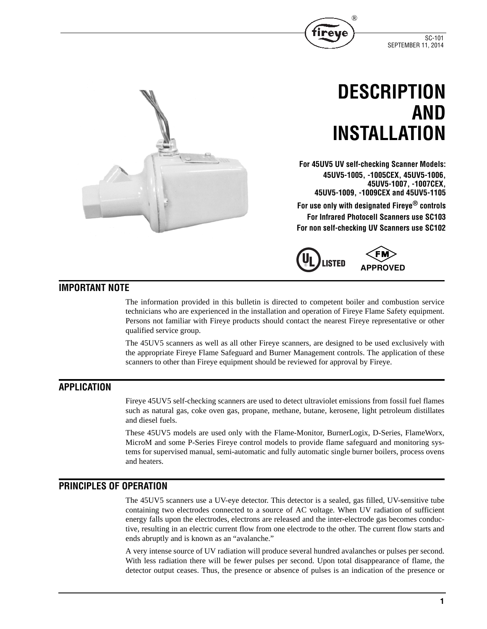

# **DESCRIPTION AND INSTALLATION**

**For 45UV5 UV self-checking Scanner Models: 45UV5-1005, -1005CEX, 45UV5-1006, 45UV5-1007, -1007CEX, 45UV5-1009, -1009CEX and 45UV5-1105**

®

**For use only with designated Fireye® controls For Infrared Photocell Scanners use SC103 For non self-checking UV Scanners use SC102**



# **IMPORTANT NOTE**

The information provided in this bulletin is directed to competent boiler and combustion service technicians who are experienced in the installation and operation of Fireye Flame Safety equipment. Persons not familiar with Fireye products should contact the nearest Fireye representative or other qualified service group.

The 45UV5 scanners as well as all other Fireye scanners, are designed to be used exclusively with the appropriate Fireye Flame Safeguard and Burner Management controls. The application of these scanners to other than Fireye equipment should be reviewed for approval by Fireye.

# **APPLICATION**

Fireye 45UV5 self-checking scanners are used to detect ultraviolet emissions from fossil fuel flames such as natural gas, coke oven gas, propane, methane, butane, kerosene, light petroleum distillates and diesel fuels.

These 45UV5 models are used only with the Flame-Monitor, BurnerLogix, D-Series, FlameWorx, MicroM and some P-Series Fireye control models to provide flame safeguard and monitoring systems for supervised manual, semi-automatic and fully automatic single burner boilers, process ovens and heaters.

# **PRINCIPLES OF OPERATION**

The 45UV5 scanners use a UV-eye detector. This detector is a sealed, gas filled, UV-sensitive tube containing two electrodes connected to a source of AC voltage. When UV radiation of sufficient energy falls upon the electrodes, electrons are released and the inter-electrode gas becomes conductive, resulting in an electric current flow from one electrode to the other. The current flow starts and ends abruptly and is known as an "avalanche."

A very intense source of UV radiation will produce several hundred avalanches or pulses per second. With less radiation there will be fewer pulses per second. Upon total disappearance of flame, the detector output ceases. Thus, the presence or absence of pulses is an indication of the presence or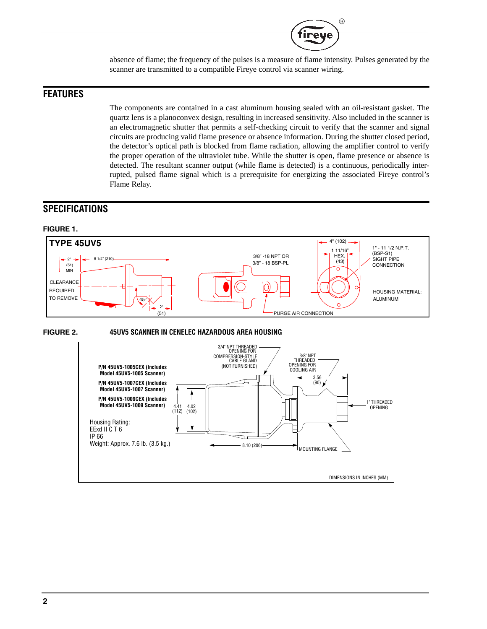

absence of flame; the frequency of the pulses is a measure of flame intensity. Pulses generated by the scanner are transmitted to a compatible Fireye control via scanner wiring.

# **FEATURES**

The components are contained in a cast aluminum housing sealed with an oil-resistant gasket. The quartz lens is a planoconvex design, resulting in increased sensitivity. Also included in the scanner is an electromagnetic shutter that permits a self-checking circuit to verify that the scanner and signal circuits are producing valid flame presence or absence information. During the shutter closed period, the detector's optical path is blocked from flame radiation, allowing the amplifier control to verify the proper operation of the ultraviolet tube. While the shutter is open, flame presence or absence is detected. The resultant scanner output (while flame is detected) is a continuous, periodically interrupted, pulsed flame signal which is a prerequisite for energizing the associated Fireye control's Flame Relay.

# **SPECIFICATIONS**

# **FIGURE 1.**





#### **FIGURE 2. 45UV5 SCANNER IN CENELEC HAZARDOUS AREA HOUSING**

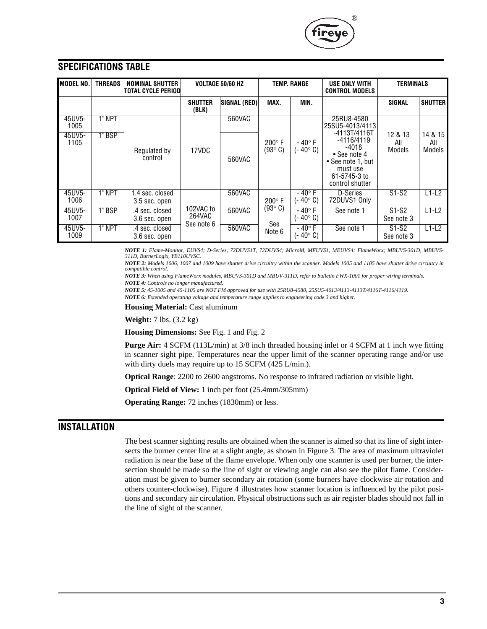

*NOTE 1: Flame-Monitor, EUVS4; D-Series, 72DUVS1T, 72DUVS4; MicroM, MEUVS1, MEUVS4; FlameWorx; MBUVS-301D, MBUVS-311D, BurnerLogix, YB110UVSC.*

®

*NOTE 2: Models 1006, 1007 and 1009 have shutter drive circuitry within the scanner. Models 1005 and 1105 have shutter drive circuitry in compatible control.*

*NOTE 3: When using FlameWorx modules, MBUVS-301D and MBUV-311D, refer to bulletin FWX-1001 for proper wiring terminals. NOTE 4: Controls no longer manufactured.*

*NOTE 5: 45-1005 and 45-1105 are NOT FM approved for use with 25RU8-4580, 25SU5-4013/4113-4113T/4116T-4116/4119. NOTE 6: Extended operating voltage and temperature range applies to engineering code 3 and higher.*

**Housing Material:** Cast aluminum

**Weight:** 7 lbs. (3.2 kg)

**Housing Dimensions:** See Fig. 1 and Fig. 2

**Purge Air:** 4 SCFM (113L/min) at 3/8 inch threaded housing inlet or 4 SCFM at 1 inch wye fitting in scanner sight pipe. Temperatures near the upper limit of the scanner operating range and/or use with dirty duels may require up to 15 SCFM (425 L/min.).

**Optical Range**: 2200 to 2600 angstroms. No response to infrared radiation or visible light.

**Optical Field of View:** 1 inch per foot (25.4mm/305mm)

**Operating Range:** 72 inches (1830mm) or less.

# **INSTALLATION**

The best scanner sighting results are obtained when the scanner is aimed so that its line of sight intersects the burner center line at a slight angle, as shown in Figure 3. The area of maximum ultraviolet radiation is near the base of the flame envelope. When only one scanner is used per burner, the intersection should be made so the line of sight or viewing angle can also see the pilot flame. Consideration must be given to burner secondary air rotation (some burners have clockwise air rotation and others counter-clockwise). Figure 4 illustrates how scanner location is influenced by the pilot positions and secondary air circulation. Physical obstructions such as air register blades should not fall in the line of sight of the scanner.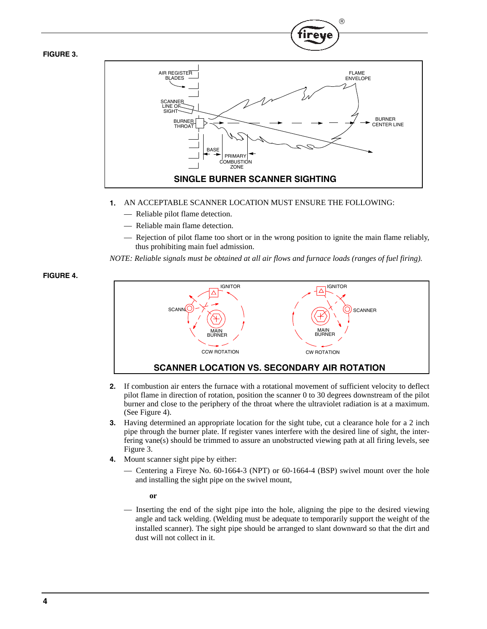**FIGURE 3.**



R

- **1.** AN ACCEPTABLE SCANNER LOCATION MUST ENSURE THE FOLLOWING:
	- Reliable pilot flame detection.
	- Reliable main flame detection.
	- Rejection of pilot flame too short or in the wrong position to ignite the main flame reliably, thus prohibiting main fuel admission.

*NOTE: Reliable signals must be obtained at all air flows and furnace loads (ranges of fuel firing).*

**FIGURE 4.**



- **2.** If combustion air enters the furnace with a rotational movement of sufficient velocity to deflect pilot flame in direction of rotation, position the scanner 0 to 30 degrees downstream of the pilot burner and close to the periphery of the throat where the ultraviolet radiation is at a maximum. (See Figure 4).
- **3.** Having determined an appropriate location for the sight tube, cut a clearance hole for a 2 inch pipe through the burner plate. If register vanes interfere with the desired line of sight, the interfering vane(s) should be trimmed to assure an unobstructed viewing path at all firing levels, see Figure 3.
- **4.** Mount scanner sight pipe by either:
	- Centering a Fireye No. 60-1664-3 (NPT) or 60-1664-4 (BSP) swivel mount over the hole and installing the sight pipe on the swivel mount,

**or** 

— Inserting the end of the sight pipe into the hole, aligning the pipe to the desired viewing angle and tack welding. (Welding must be adequate to temporarily support the weight of the installed scanner). The sight pipe should be arranged to slant downward so that the dirt and dust will not collect in it.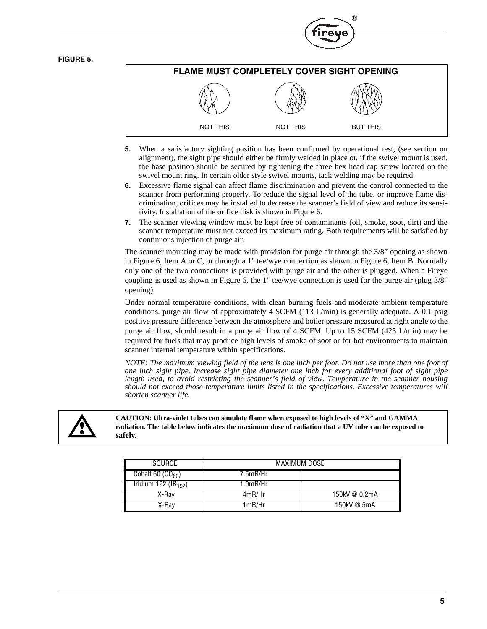#### **FIGURE 5.**



®

- **5.** When a satisfactory sighting position has been confirmed by operational test, (see section on alignment), the sight pipe should either be firmly welded in place or, if the swivel mount is used, the base position should be secured by tightening the three hex head cap screw located on the swivel mount ring. In certain older style swivel mounts, tack welding may be required.
- **6.** Excessive flame signal can affect flame discrimination and prevent the control connected to the scanner from performing properly. To reduce the signal level of the tube, or improve flame discrimination, orifices may be installed to decrease the scanner's field of view and reduce its sensitivity. Installation of the orifice disk is shown in Figure 6.
- **7.** The scanner viewing window must be kept free of contaminants (oil, smoke, soot, dirt) and the scanner temperature must not exceed its maximum rating. Both requirements will be satisfied by continuous injection of purge air.

The scanner mounting may be made with provision for purge air through the 3/8" opening as shown in Figure 6, Item A or C, or through a 1" tee/wye connection as shown in Figure 6, Item B. Normally only one of the two connections is provided with purge air and the other is plugged. When a Fireye coupling is used as shown in Figure 6, the 1" tee/wye connection is used for the purge air (plug 3/8" opening).

Under normal temperature conditions, with clean burning fuels and moderate ambient temperature conditions, purge air flow of approximately 4 SCFM (113 L/min) is generally adequate. A 0.1 psig positive pressure difference between the atmosphere and boiler pressure measured at right angle to the purge air flow, should result in a purge air flow of 4 SCFM. Up to 15 SCFM (425 L/min) may be required for fuels that may produce high levels of smoke of soot or for hot environments to maintain scanner internal temperature within specifications.

*NOTE: The maximum viewing field of the lens is one inch per foot. Do not use more than one foot of one inch sight pipe. Increase sight pipe diameter one inch for every additional foot of sight pipe length used, to avoid restricting the scanner's field of view. Temperature in the scanner housing should not exceed those temperature limits listed in the specifications. Excessive temperatures will shorten scanner life.*



**CAUTION: Ultra-violet tubes can simulate flame when exposed to high levels of "X" and GAMMA radiation. The table below indicates the maximum dose of radiation that a UV tube can be exposed to safely.**

| SOURCE                                               | MAXIMUM DOSE |               |
|------------------------------------------------------|--------------|---------------|
| Cobalt 60 $(CO_{60})$                                | 7.5mR/Hr     |               |
| $\overline{\text{Iridium}}$ 192 (IR <sub>192</sub> ) | 1.0mR/Hr     |               |
| X-Ray                                                | 4mR/Hr       | 150kV @ 0.2mA |
| X-Ray                                                | 1mR/Hr       | 150kV @ 5mA   |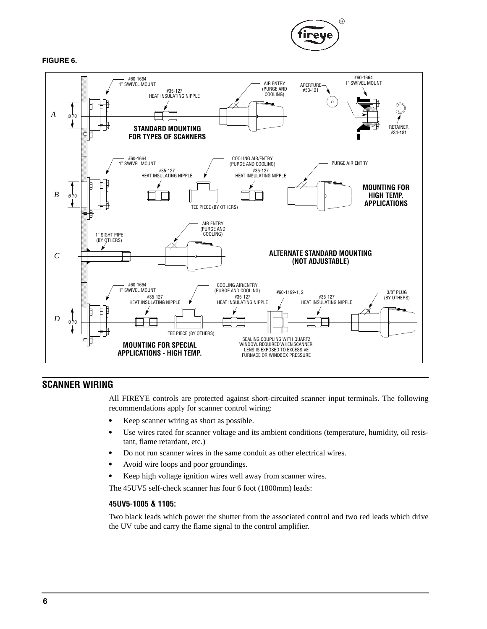



 $^{\circledR}$ 

fireye

# **SCANNER WIRING**

All FIREYE controls are protected against short-circuited scanner input terminals. The following recommendations apply for scanner control wiring:

- **•** Keep scanner wiring as short as possible.
- **•** Use wires rated for scanner voltage and its ambient conditions (temperature, humidity, oil resistant, flame retardant, etc.)
- **•** Do not run scanner wires in the same conduit as other electrical wires.
- **•** Avoid wire loops and poor groundings.
- **•** Keep high voltage ignition wires well away from scanner wires.

The 45UV5 self-check scanner has four 6 foot (1800mm) leads:

#### **45UV5-1005 & 1105:**

Two black leads which power the shutter from the associated control and two red leads which drive the UV tube and carry the flame signal to the control amplifier.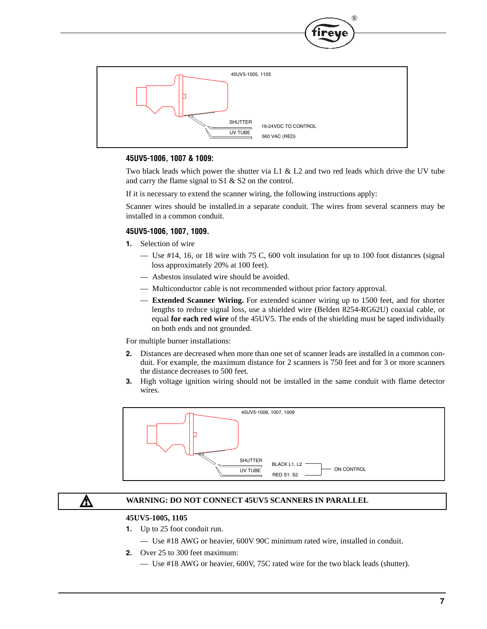

#### **45UV5-1006, 1007 & 1009:**

Two black leads which power the shutter via L1  $\&$  L2 and two red leads which drive the UV tube and carry the flame signal to S1 & S2 on the control.

®

If it is necessary to extend the scanner wiring, the following instructions apply:

Scanner wires should be installed.in a separate conduit. The wires from several scanners may be installed in a common conduit.

#### **45UV5-1006, 1007, 1009.**

- **1.** Selection of wire
	- Use  $\#14$ , 16, or 18 wire with 75 C, 600 volt insulation for up to 100 foot distances (signal loss approximately 20% at 100 feet).
	- Asbestos insulated wire should be avoided.
	- Multiconductor cable is not recommended without prior factory approval.
	- **Extended Scanner Wiring.** For extended scanner wiring up to 1500 feet, and for shorter lengths to reduce signal loss, use a shielded wire (Belden 8254-RG62U) coaxial cable, or equal **for each red wire** of the 45UV5. The ends of the shielding must be taped individually on both ends and not grounded.

For multiple burner installations:

- **2.** Distances are decreased when more than one set of scanner leads are installed in a common conduit. For example, the maximum distance for 2 scanners is 750 feet and for 3 or more scanners the distance decreases to 500 feet.
- **3.** High voltage ignition wiring should not be installed in the same conduit with flame detector wires.



# <u>Л\</u>

#### **WARNING: DO NOT CONNECT 45UV5 SCANNERS IN PARALLEL**

### **45UV5-1005, 1105**

- **1.** Up to 25 foot conduit run.
	- Use #18 AWG or heavier, 600V 90C minimum rated wire, installed in conduit.
- **2.** Over 25 to 300 feet maximum:
	- Use #18 AWG or heavier, 600V, 75C rated wire for the two black leads (shutter).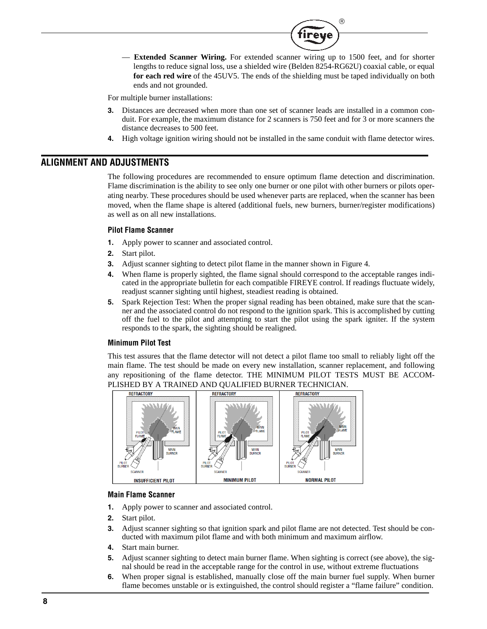

 $^{\circledR}$ 

tireve

For multiple burner installations:

- **3.** Distances are decreased when more than one set of scanner leads are installed in a common conduit. For example, the maximum distance for 2 scanners is 750 feet and for 3 or more scanners the distance decreases to 500 feet.
- **4.** High voltage ignition wiring should not be installed in the same conduit with flame detector wires.

#### **ALIGNMENT AND ADJUSTMENTS**

The following procedures are recommended to ensure optimum flame detection and discrimination. Flame discrimination is the ability to see only one burner or one pilot with other burners or pilots operating nearby. These procedures should be used whenever parts are replaced, when the scanner has been moved, when the flame shape is altered (additional fuels, new burners, burner/register modifications) as well as on all new installations.

#### **Pilot Flame Scanner**

- **1.** Apply power to scanner and associated control.
- **2.** Start pilot.
- **3.** Adjust scanner sighting to detect pilot flame in the manner shown in Figure 4.
- **4.** When flame is properly sighted, the flame signal should correspond to the acceptable ranges indicated in the appropriate bulletin for each compatible FIREYE control. If readings fluctuate widely, readjust scanner sighting until highest, steadiest reading is obtained.
- **5.** Spark Rejection Test: When the proper signal reading has been obtained, make sure that the scanner and the associated control do not respond to the ignition spark. This is accomplished by cutting off the fuel to the pilot and attempting to start the pilot using the spark igniter. If the system responds to the spark, the sighting should be realigned.

#### **Minimum Pilot Test**

This test assures that the flame detector will not detect a pilot flame too small to reliably light off the main flame. The test should be made on every new installation, scanner replacement, and following any repositioning of the flame detector. THE MINIMUM PILOT TESTS MUST BE ACCOM-PLISHED BY A TRAINED AND QUALIFIED BURNER TECHNICIAN.



#### **Main Flame Scanner**

- **1.** Apply power to scanner and associated control.
- **2.** Start pilot.
- **3.** Adjust scanner sighting so that ignition spark and pilot flame are not detected. Test should be conducted with maximum pilot flame and with both minimum and maximum airflow.
- **4.** Start main burner.
- **5.** Adjust scanner sighting to detect main burner flame. When sighting is correct (see above), the signal should be read in the acceptable range for the control in use, without extreme fluctuations
- **6.** When proper signal is established, manually close off the main burner fuel supply. When burner flame becomes unstable or is extinguished, the control should register a "flame failure" condition.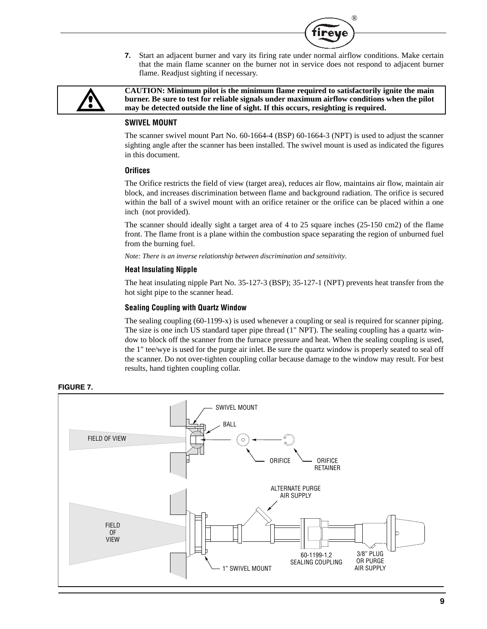**7.** Start an adjacent burner and vary its firing rate under normal airflow conditions. Make certain that the main flame scanner on the burner not in service does not respond to adjacent burner flame. Readjust sighting if necessary.

®

re



**CAUTION: Minimum pilot is the minimum flame required to satisfactorily ignite the main burner. Be sure to test for reliable signals under maximum airflow conditions when the pilot may be detected outside the line of sight. If this occurs, resighting is required.**

#### **SWIVEL MOUNT**

The scanner swivel mount Part No. 60-1664-4 (BSP) 60-1664-3 (NPT) is used to adjust the scanner sighting angle after the scanner has been installed. The swivel mount is used as indicated the figures in this document.

#### **Orifices**

The Orifice restricts the field of view (target area), reduces air flow, maintains air flow, maintain air block, and increases discrimination between flame and background radiation. The orifice is secured within the ball of a swivel mount with an orifice retainer or the orifice can be placed within a one inch (not provided).

The scanner should ideally sight a target area of 4 to 25 square inches (25-150 cm2) of the flame front. The flame front is a plane within the combustion space separating the region of unburned fuel from the burning fuel.

*Note: There is an inverse relationship between discrimination and sensitivity.*

#### **Heat Insulating Nipple**

The heat insulating nipple Part No. 35-127-3 (BSP); 35-127-1 (NPT) prevents heat transfer from the hot sight pipe to the scanner head.

#### **Sealing Coupling with Quartz Window**

The sealing coupling (60-1199-x) is used whenever a coupling or seal is required for scanner piping. The size is one inch US standard taper pipe thread (1" NPT). The sealing coupling has a quartz window to block off the scanner from the furnace pressure and heat. When the sealing coupling is used, the 1" tee/wye is used for the purge air inlet. Be sure the quartz window is properly seated to seal off the scanner. Do not over-tighten coupling collar because damage to the window may result. For best results, hand tighten coupling collar.



#### **FIGURE 7.**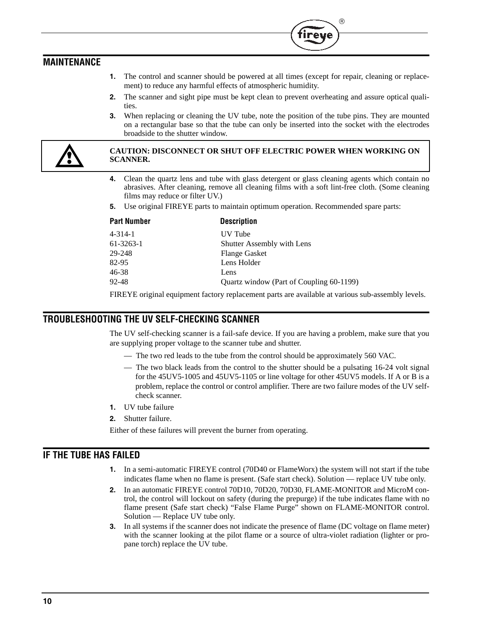# **MAINTENANCE**

**1.** The control and scanner should be powered at all times (except for repair, cleaning or replacement) to reduce any harmful effects of atmospheric humidity.

 $^{\circledR}$ 

- **2.** The scanner and sight pipe must be kept clean to prevent overheating and assure optical qualities.
- **3.** When replacing or cleaning the UV tube, note the position of the tube pins. They are mounted on a rectangular base so that the tube can only be inserted into the socket with the electrodes broadside to the shutter window.



#### **CAUTION: DISCONNECT OR SHUT OFF ELECTRIC POWER WHEN WORKING ON SCANNER.**

- **4.** Clean the quartz lens and tube with glass detergent or glass cleaning agents which contain no abrasives. After cleaning, remove all cleaning films with a soft lint-free cloth. (Some cleaning films may reduce or filter UV.)
- **5.** Use original FIREYE parts to maintain optimum operation. Recommended spare parts:

| <b>Part Number</b> | <b>Description</b>                       |
|--------------------|------------------------------------------|
| $4 - 314 - 1$      | UV Tube                                  |
| $61-3263-1$        | <b>Shutter Assembly with Lens</b>        |
| 29-248             | <b>Flange Gasket</b>                     |
| 82-95              | Lens Holder                              |
| 46-38              | Lens                                     |
| 92-48              | Quartz window (Part of Coupling 60-1199) |
|                    |                                          |

FIREYE original equipment factory replacement parts are available at various sub-assembly levels.

## **TROUBLESHOOTING THE UV SELF-CHECKING SCANNER**

The UV self-checking scanner is a fail-safe device. If you are having a problem, make sure that you are supplying proper voltage to the scanner tube and shutter.

- The two red leads to the tube from the control should be approximately 560 VAC.
- The two black leads from the control to the shutter should be a pulsating 16-24 volt signal for the 45UV5-1005 and 45UV5-1105 or line voltage for other 45UV5 models. If A or B is a problem, replace the control or control amplifier. There are two failure modes of the UV selfcheck scanner.
- **1.** UV tube failure
- **2.** Shutter failure.

Either of these failures will prevent the burner from operating.

## **IF THE TUBE HAS FAILED**

- **1.** In a semi-automatic FIREYE control (70D40 or FlameWorx) the system will not start if the tube indicates flame when no flame is present. (Safe start check). Solution — replace UV tube only.
- **2.** In an automatic FIREYE control 70D10, 70D20, 70D30, FLAME-MONITOR and MicroM control, the control will lockout on safety (during the prepurge) if the tube indicates flame with no flame present (Safe start check) "False Flame Purge" shown on FLAME-MONITOR control. Solution — Replace UV tube only.
- **3.** In all systems if the scanner does not indicate the presence of flame (DC voltage on flame meter) with the scanner looking at the pilot flame or a source of ultra-violet radiation (lighter or propane torch) replace the UV tube.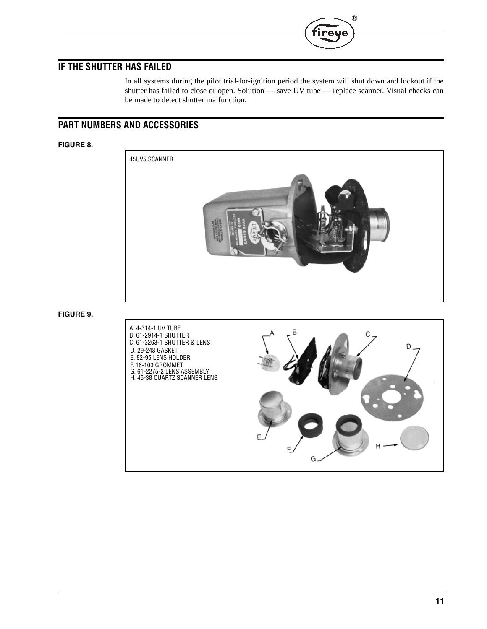# **IF THE SHUTTER HAS FAILED**

In all systems during the pilot trial-for-ignition period the system will shut down and lockout if the shutter has failed to close or open. Solution — save UV tube — replace scanner. Visual checks can be made to detect shutter malfunction.

®

re

# **PART NUMBERS AND ACCESSORIES**

#### **FIGURE 8.**



#### **FIGURE 9.**

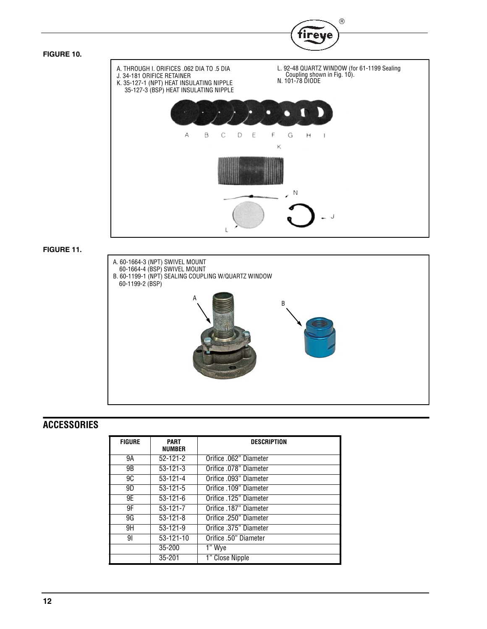

#### **FIGURE 11.**



# **ACCESSORIES**

| <b>FIGURE</b> | <b>PART</b><br><b>NUMBER</b> | <b>DESCRIPTION</b>     |
|---------------|------------------------------|------------------------|
| 9Α            | $52 - 121 - 2$               | Orifice .062" Diameter |
| 9B            | $53 - 121 - 3$               | Orifice .078" Diameter |
| 9C            | $53 - 121 - 4$               | Orifice .093" Diameter |
| 9D            | $53 - 121 - 5$               | Orifice .109" Diameter |
| 9E            | $53-121-6$                   | Orifice .125" Diameter |
| 9F            | $53-121-7$                   | Orifice .187" Diameter |
| 9G            | $53 - 121 - 8$               | Orifice .250" Diameter |
| 9H            | $53 - 121 - 9$               | Orifice .375" Diameter |
| 91            | 53-121-10                    | Orifice .50" Diameter  |
|               | $35 - 200$                   | 1" Wye                 |
|               | 35-201                       | 1" Close Nipple        |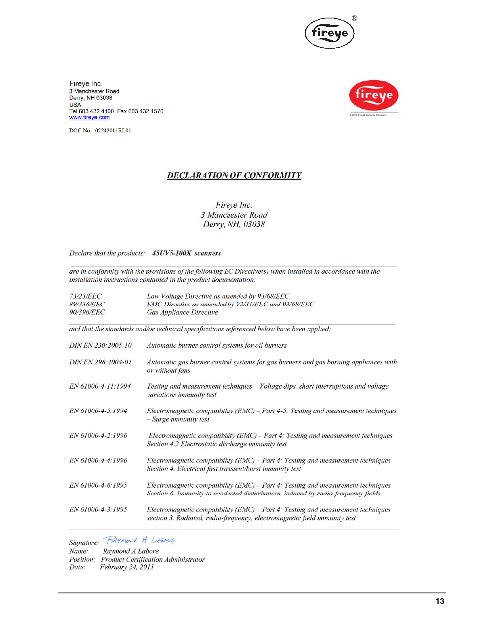

Fireye Inc. 3 Manchester Road<br>Derry, NH 03038 **USA** Tel 603.432.4100 Fax 603.432.1570 www.fireye.com



DOC No. 02242011RL01

## **DECLARATION OF CONFORMITY**

Fireye Inc. 3 Manchester Road Derry, NH, 03038

Declare that the products: 45UV5-100X scanners

are in conformity with the provisions of the following EC Directive(s) when installed in accordance with the installation instructions contained in the product documentation:

| <i>73/23/EEC</i>                                                                           | Low Voltage Directive as amended by 93/68/EEC                                                                                                                        |  |  |  |
|--------------------------------------------------------------------------------------------|----------------------------------------------------------------------------------------------------------------------------------------------------------------------|--|--|--|
| 89/336/EEC                                                                                 | EMC Directive as amended by 92/31/EEC and 93/68/EEC                                                                                                                  |  |  |  |
| <b>90/396/EEC</b>                                                                          | Gas Appliance Directive                                                                                                                                              |  |  |  |
| and that the standards and/or technical specifications referenced below have been applied: |                                                                                                                                                                      |  |  |  |
| DIN EN 230:2005-10                                                                         | Automatic burner control systems for oil burners                                                                                                                     |  |  |  |
| DIN EN 298:2004-01                                                                         | Automatic gas burner control systems for gas burners and gas burning appliances with<br>or without fans                                                              |  |  |  |
| EN 61000-4-11:1994                                                                         | Testing and measurement techniques - Voltage dips, short interruptions and voltage<br>variations immunity test                                                       |  |  |  |
| EN 61000-4-5:1994                                                                          | Electromagnetic compatibility (EMC) - Part 4-5: Testing and measurement techniques<br>$-S($ urge immunity test                                                       |  |  |  |
| EN 61000-4-2:1996                                                                          | Electromagnetic compatibility (EMC) – Part 4: Testing and measurement techniques<br>Section 4.2 Electrostatic discharge immunity test                                |  |  |  |
| EN 61000-4-4:1996                                                                          | Electromagnetic compatibility $(EMC)$ – Part 4: Testing and measurement techniques<br>Section 4. Electrical fast transient/burst immunity test                       |  |  |  |
| EN 61000-4-6:1995                                                                          | Electromagnetic compatibility (EMC) – Part 4: Testing and measurement techniques<br>Section 6. Immunity to conducted disturbances, induced by radio-frequency fields |  |  |  |
| EN 61000-4-3:1995                                                                          | Electromagnetic compatibility $(EMC)$ – Part 4: Testing and measurement techniques<br>section 3. Radiated, radio-frequency, electromagnetic field immunity test      |  |  |  |
|                                                                                            |                                                                                                                                                                      |  |  |  |

Signature: RAYMONY A LABONE

Raymond A Labore Name:

Position: Product Certification Administrator

February 24, 2011 Date: